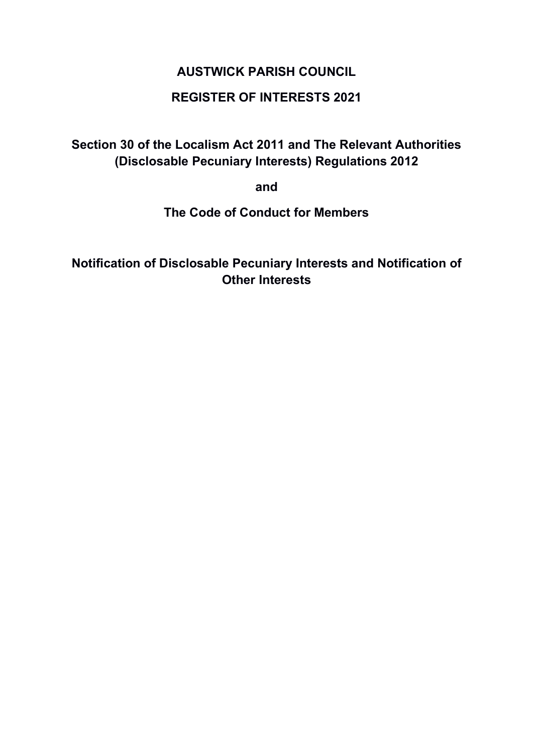# AUSTWICK PARISH COUNCIL

# REGISTER OF INTERESTS 2021

Section 30 of the Localism Act 2011 and The Relevant Authorities (Disclosable Pecuniary Interests) Regulations 2012

and

The Code of Conduct for Members

Notification of Disclosable Pecuniary Interests and Notification of Other Interests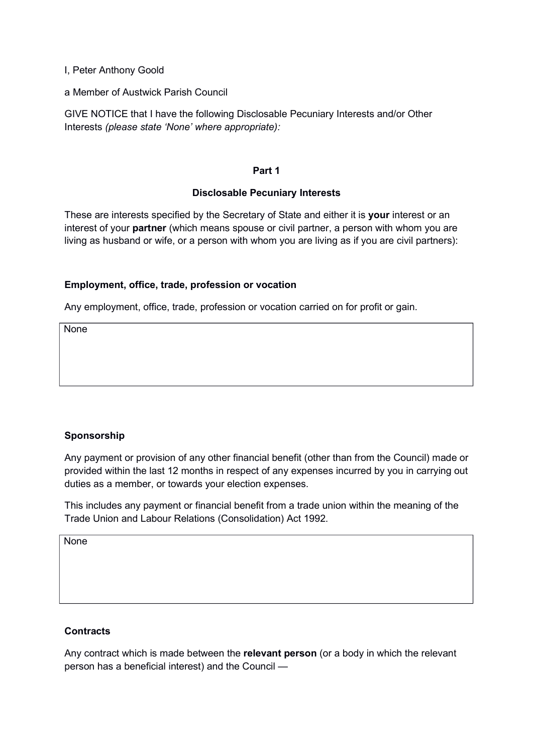I, Peter Anthony Goold

a Member of Austwick Parish Council

GIVE NOTICE that I have the following Disclosable Pecuniary Interests and/or Other Interests (please state 'None' where appropriate):

### Part 1

# Disclosable Pecuniary Interests

These are interests specified by the Secretary of State and either it is your interest or an interest of your **partner** (which means spouse or civil partner, a person with whom you are living as husband or wife, or a person with whom you are living as if you are civil partners):

# Employment, office, trade, profession or vocation

Any employment, office, trade, profession or vocation carried on for profit or gain.

**None** 

# Sponsorship

Any payment or provision of any other financial benefit (other than from the Council) made or provided within the last 12 months in respect of any expenses incurred by you in carrying out duties as a member, or towards your election expenses.

This includes any payment or financial benefit from a trade union within the meaning of the Trade Union and Labour Relations (Consolidation) Act 1992.

None

# **Contracts**

Any contract which is made between the relevant person (or a body in which the relevant person has a beneficial interest) and the Council —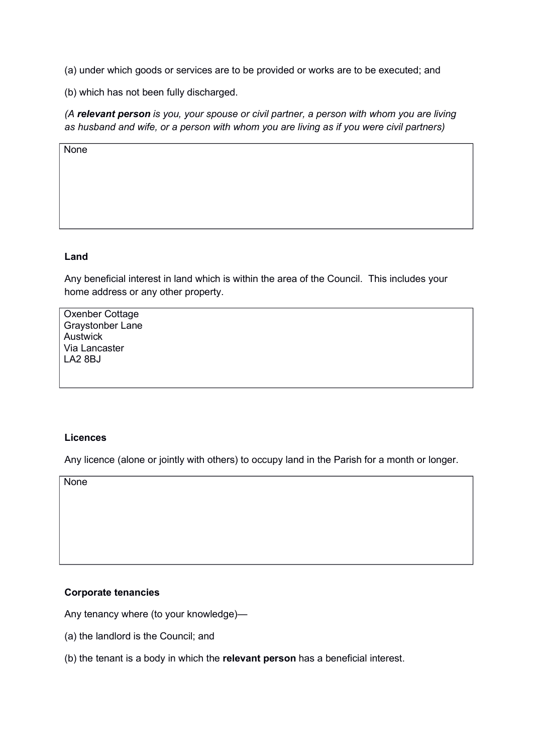(a) under which goods or services are to be provided or works are to be executed; and

(b) which has not been fully discharged.

(A relevant person is you, your spouse or civil partner, a person with whom you are living as husband and wife, or a person with whom you are living as if you were civil partners)

None

#### Land

Any beneficial interest in land which is within the area of the Council. This includes your home address or any other property.

Oxenber Cottage Graystonber Lane Austwick Via Lancaster LA2 8BJ

### Licences

Any licence (alone or jointly with others) to occupy land in the Parish for a month or longer.

**None** 

# Corporate tenancies

Any tenancy where (to your knowledge)—

- (a) the landlord is the Council; and
- (b) the tenant is a body in which the relevant person has a beneficial interest.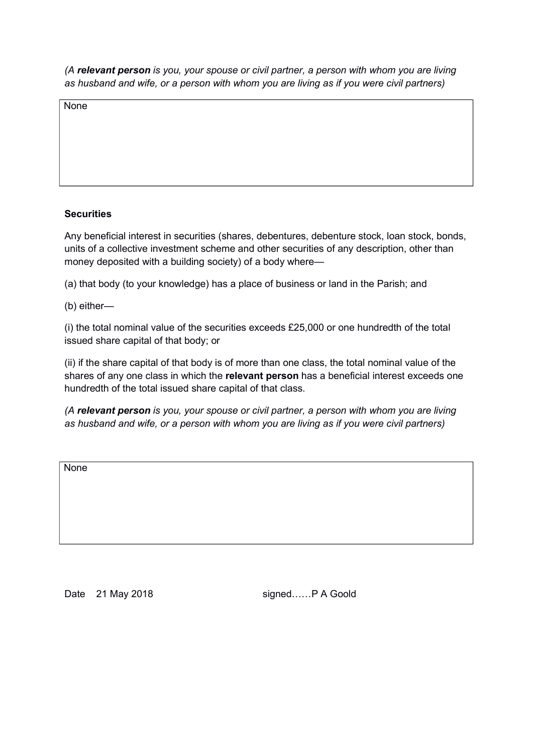None

# **Securities**

Any beneficial interest in securities (shares, debentures, debenture stock, loan stock, bonds, units of a collective investment scheme and other securities of any description, other than money deposited with a building society) of a body where—

(a) that body (to your knowledge) has a place of business or land in the Parish; and

(b) either—

(i) the total nominal value of the securities exceeds £25,000 or one hundredth of the total issued share capital of that body; or

(ii) if the share capital of that body is of more than one class, the total nominal value of the shares of any one class in which the relevant person has a beneficial interest exceeds one hundredth of the total issued share capital of that class.

(A relevant person is you, your spouse or civil partner, a person with whom you are living as husband and wife, or a person with whom you are living as if you were civil partners)

**None** 

Date 21 May 2018 signed...... P A Goold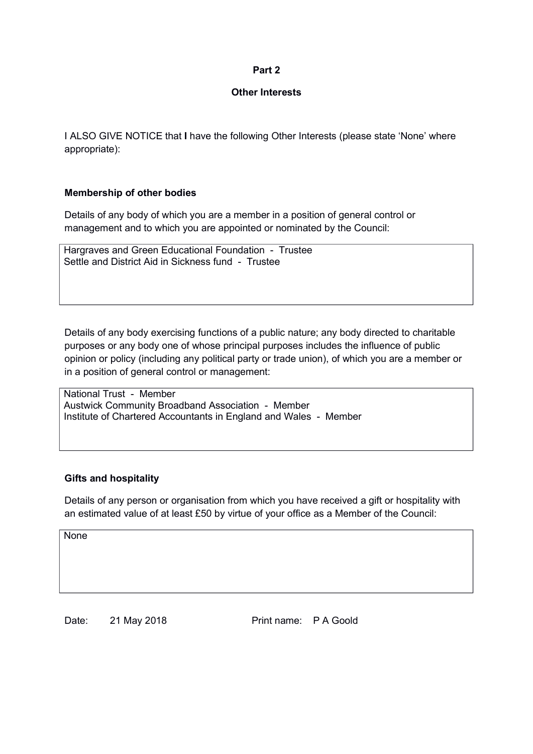### Other Interests

I ALSO GIVE NOTICE that I have the following Other Interests (please state 'None' where appropriate):

# Membership of other bodies

Details of any body of which you are a member in a position of general control or management and to which you are appointed or nominated by the Council:

Hargraves and Green Educational Foundation - Trustee Settle and District Aid in Sickness fund - Trustee

Details of any body exercising functions of a public nature; any body directed to charitable purposes or any body one of whose principal purposes includes the influence of public opinion or policy (including any political party or trade union), of which you are a member or in a position of general control or management:

National Trust - Member Austwick Community Broadband Association - Member Institute of Chartered Accountants in England and Wales - Member

# Gifts and hospitality

Details of any person or organisation from which you have received a gift or hospitality with an estimated value of at least £50 by virtue of your office as a Member of the Council:

None

Date: 21 May 2018 Print name: P A Goold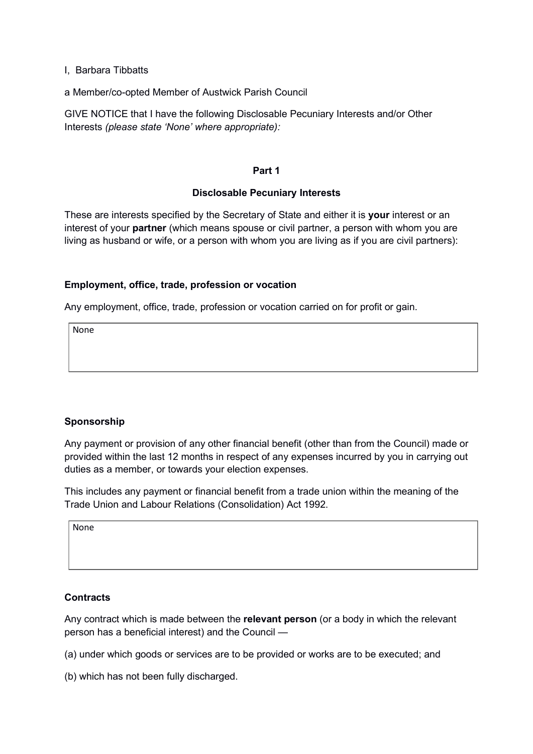I, Barbara Tibbatts

a Member/co-opted Member of Austwick Parish Council

GIVE NOTICE that I have the following Disclosable Pecuniary Interests and/or Other Interests (please state 'None' where appropriate):

### Part 1

### Disclosable Pecuniary Interests

These are interests specified by the Secretary of State and either it is your interest or an interest of your **partner** (which means spouse or civil partner, a person with whom you are living as husband or wife, or a person with whom you are living as if you are civil partners):

# Employment, office, trade, profession or vocation

Any employment, office, trade, profession or vocation carried on for profit or gain.

None

# Sponsorship

Any payment or provision of any other financial benefit (other than from the Council) made or provided within the last 12 months in respect of any expenses incurred by you in carrying out duties as a member, or towards your election expenses.

This includes any payment or financial benefit from a trade union within the meaning of the Trade Union and Labour Relations (Consolidation) Act 1992.

None

# **Contracts**

Any contract which is made between the relevant person (or a body in which the relevant person has a beneficial interest) and the Council —

(a) under which goods or services are to be provided or works are to be executed; and

(b) which has not been fully discharged.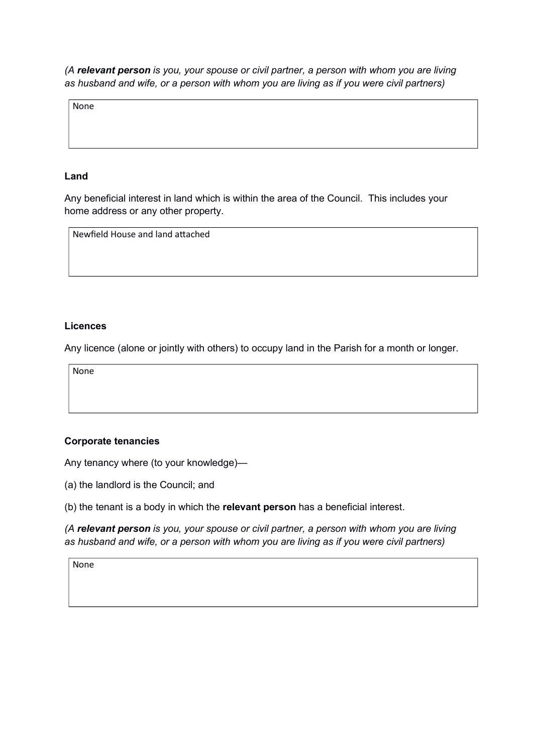None

## Land

Any beneficial interest in land which is within the area of the Council. This includes your home address or any other property.

Newfield House and land attached

### Licences

Any licence (alone or jointly with others) to occupy land in the Parish for a month or longer.

None

# Corporate tenancies

Any tenancy where (to your knowledge)—

(a) the landlord is the Council; and

|  |  |  |  |  |  | (b) the tenant is a body in which the relevant person has a beneficial interest. |  |
|--|--|--|--|--|--|----------------------------------------------------------------------------------|--|
|  |  |  |  |  |  |                                                                                  |  |

(A relevant person is you, your spouse or civil partner, a person with whom you are living as husband and wife, or a person with whom you are living as if you were civil partners)

None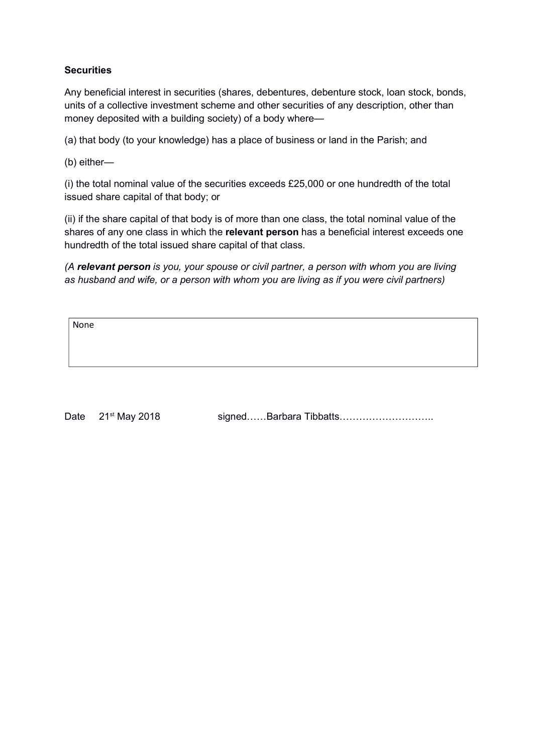# **Securities**

Any beneficial interest in securities (shares, debentures, debenture stock, loan stock, bonds, units of a collective investment scheme and other securities of any description, other than money deposited with a building society) of a body where—

(a) that body (to your knowledge) has a place of business or land in the Parish; and

(b) either—

(i) the total nominal value of the securities exceeds £25,000 or one hundredth of the total issued share capital of that body; or

(ii) if the share capital of that body is of more than one class, the total nominal value of the shares of any one class in which the relevant person has a beneficial interest exceeds one hundredth of the total issued share capital of that class.

(A relevant person is you, your spouse or civil partner, a person with whom you are living as husband and wife, or a person with whom you are living as if you were civil partners)

None

Date 21<sup>st</sup> May 2018 signed……Barbara Tibbatts…………………………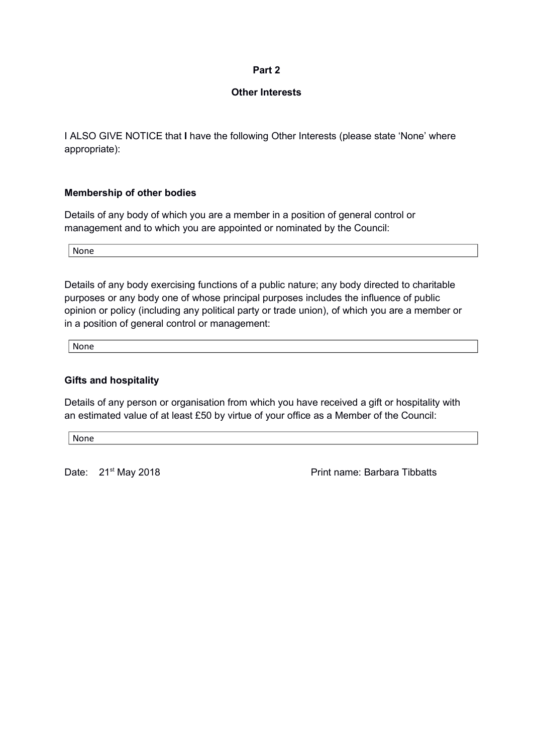## Other Interests

I ALSO GIVE NOTICE that I have the following Other Interests (please state 'None' where appropriate):

# Membership of other bodies

Details of any body of which you are a member in a position of general control or management and to which you are appointed or nominated by the Council:

None

Details of any body exercising functions of a public nature; any body directed to charitable purposes or any body one of whose principal purposes includes the influence of public opinion or policy (including any political party or trade union), of which you are a member or in a position of general control or management:

None

# Gifts and hospitality

Details of any person or organisation from which you have received a gift or hospitality with an estimated value of at least £50 by virtue of your office as a Member of the Council:

None

Date: 21<sup>st</sup> May 2018 **Print name: Barbara Tibbatts**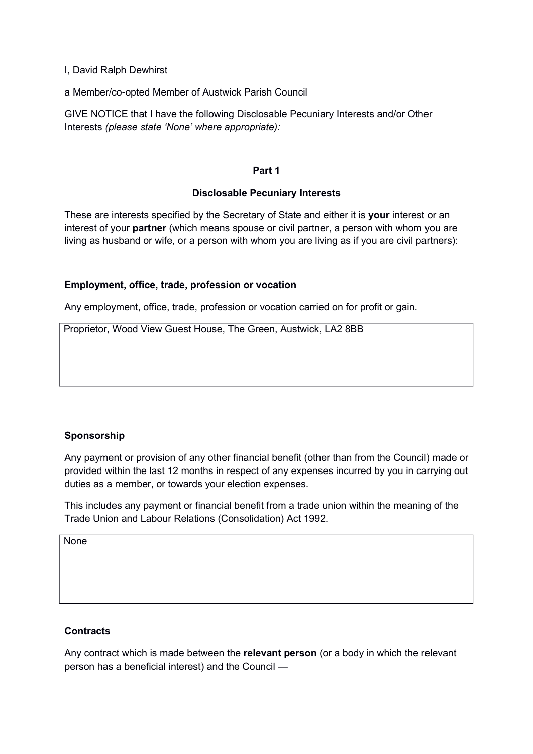I, David Ralph Dewhirst

a Member/co-opted Member of Austwick Parish Council

GIVE NOTICE that I have the following Disclosable Pecuniary Interests and/or Other Interests (please state 'None' where appropriate):

### Part 1

### Disclosable Pecuniary Interests

These are interests specified by the Secretary of State and either it is your interest or an interest of your **partner** (which means spouse or civil partner, a person with whom you are living as husband or wife, or a person with whom you are living as if you are civil partners):

# Employment, office, trade, profession or vocation

Any employment, office, trade, profession or vocation carried on for profit or gain.

Proprietor, Wood View Guest House, The Green, Austwick, LA2 8BB

# Sponsorship

Any payment or provision of any other financial benefit (other than from the Council) made or provided within the last 12 months in respect of any expenses incurred by you in carrying out duties as a member, or towards your election expenses.

This includes any payment or financial benefit from a trade union within the meaning of the Trade Union and Labour Relations (Consolidation) Act 1992.

None

# **Contracts**

Any contract which is made between the **relevant person** (or a body in which the relevant person has a beneficial interest) and the Council —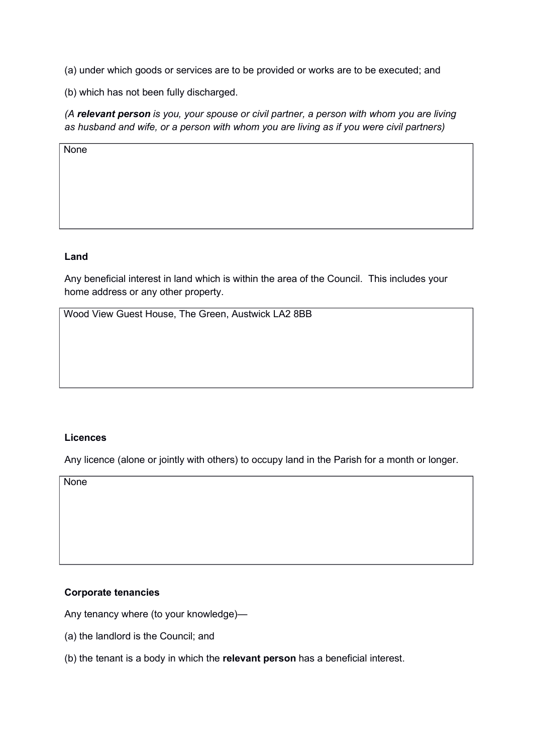(a) under which goods or services are to be provided or works are to be executed; and

(b) which has not been fully discharged.

(A relevant person is you, your spouse or civil partner, a person with whom you are living as husband and wife, or a person with whom you are living as if you were civil partners)

None

# Land

Any beneficial interest in land which is within the area of the Council. This includes your home address or any other property.

Wood View Guest House, The Green, Austwick LA2 8BB

# **Licences**

Any licence (alone or jointly with others) to occupy land in the Parish for a month or longer.

**None** 

# Corporate tenancies

Any tenancy where (to your knowledge)—

- (a) the landlord is the Council; and
- (b) the tenant is a body in which the relevant person has a beneficial interest.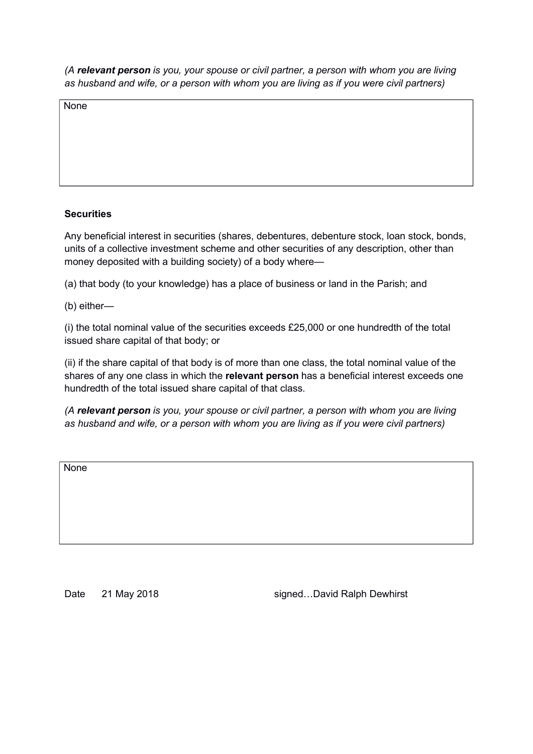None

# **Securities**

Any beneficial interest in securities (shares, debentures, debenture stock, loan stock, bonds, units of a collective investment scheme and other securities of any description, other than money deposited with a building society) of a body where—

(a) that body (to your knowledge) has a place of business or land in the Parish; and

(b) either—

(i) the total nominal value of the securities exceeds £25,000 or one hundredth of the total issued share capital of that body; or

(ii) if the share capital of that body is of more than one class, the total nominal value of the shares of any one class in which the relevant person has a beneficial interest exceeds one hundredth of the total issued share capital of that class.

(A relevant person is you, your spouse or civil partner, a person with whom you are living as husband and wife, or a person with whom you are living as if you were civil partners)

**None** 

Date 21 May 2018 **Date 21 May 2018** Signed...David Ralph Dewhirst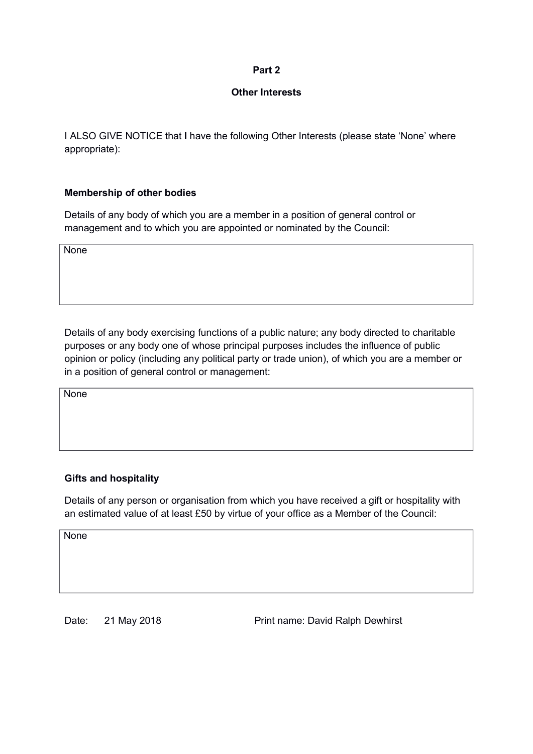# Other Interests

I ALSO GIVE NOTICE that I have the following Other Interests (please state 'None' where appropriate):

# Membership of other bodies

Details of any body of which you are a member in a position of general control or management and to which you are appointed or nominated by the Council:

**None** 

Details of any body exercising functions of a public nature; any body directed to charitable purposes or any body one of whose principal purposes includes the influence of public opinion or policy (including any political party or trade union), of which you are a member or in a position of general control or management:

None

# Gifts and hospitality

Details of any person or organisation from which you have received a gift or hospitality with an estimated value of at least £50 by virtue of your office as a Member of the Council:

None

Date: 21 May 2018 **Print name: David Ralph Dewhirst**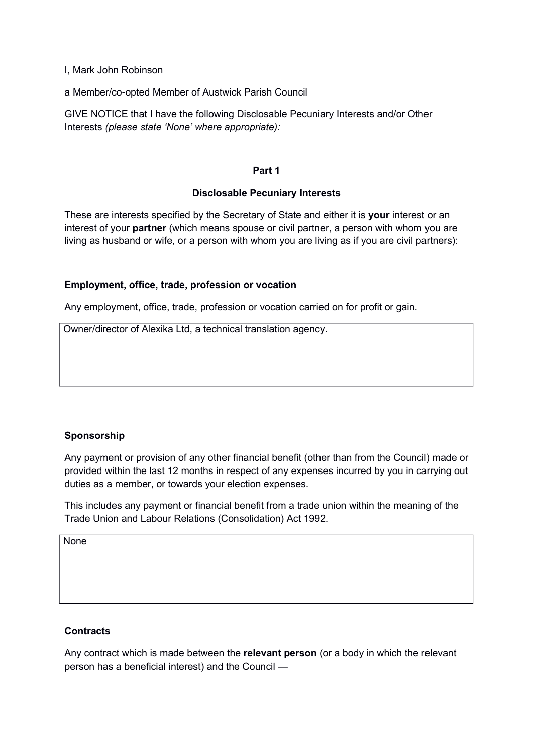I, Mark John Robinson

a Member/co-opted Member of Austwick Parish Council

GIVE NOTICE that I have the following Disclosable Pecuniary Interests and/or Other Interests (please state 'None' where appropriate):

### Part 1

### Disclosable Pecuniary Interests

These are interests specified by the Secretary of State and either it is your interest or an interest of your **partner** (which means spouse or civil partner, a person with whom you are living as husband or wife, or a person with whom you are living as if you are civil partners):

# Employment, office, trade, profession or vocation

Any employment, office, trade, profession or vocation carried on for profit or gain.

Owner/director of Alexika Ltd, a technical translation agency.

# Sponsorship

Any payment or provision of any other financial benefit (other than from the Council) made or provided within the last 12 months in respect of any expenses incurred by you in carrying out duties as a member, or towards your election expenses.

This includes any payment or financial benefit from a trade union within the meaning of the Trade Union and Labour Relations (Consolidation) Act 1992.

None

# **Contracts**

Any contract which is made between the relevant person (or a body in which the relevant person has a beneficial interest) and the Council —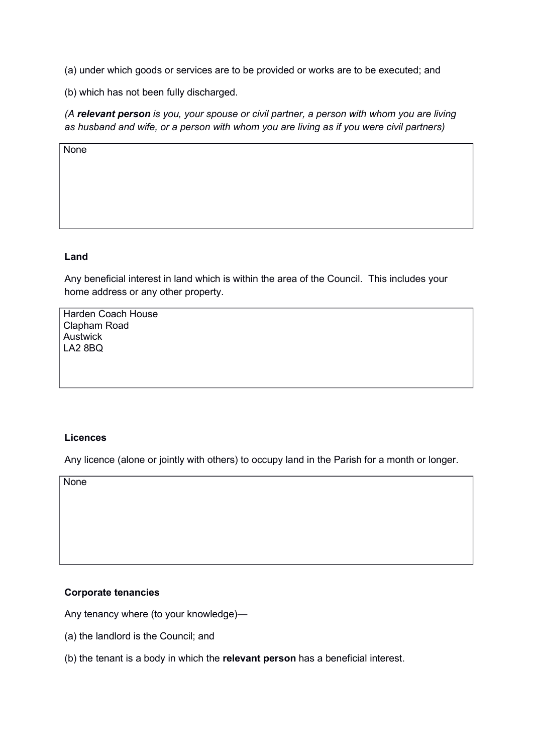(a) under which goods or services are to be provided or works are to be executed; and

(b) which has not been fully discharged.

(A relevant person is you, your spouse or civil partner, a person with whom you are living as husband and wife, or a person with whom you are living as if you were civil partners)

**None** 

#### Land

Any beneficial interest in land which is within the area of the Council. This includes your home address or any other property.

Harden Coach House Clapham Road Austwick LA2 8BQ

#### **Licences**

Any licence (alone or jointly with others) to occupy land in the Parish for a month or longer.

**None** 

#### Corporate tenancies

Any tenancy where (to your knowledge)—

- (a) the landlord is the Council; and
- (b) the tenant is a body in which the relevant person has a beneficial interest.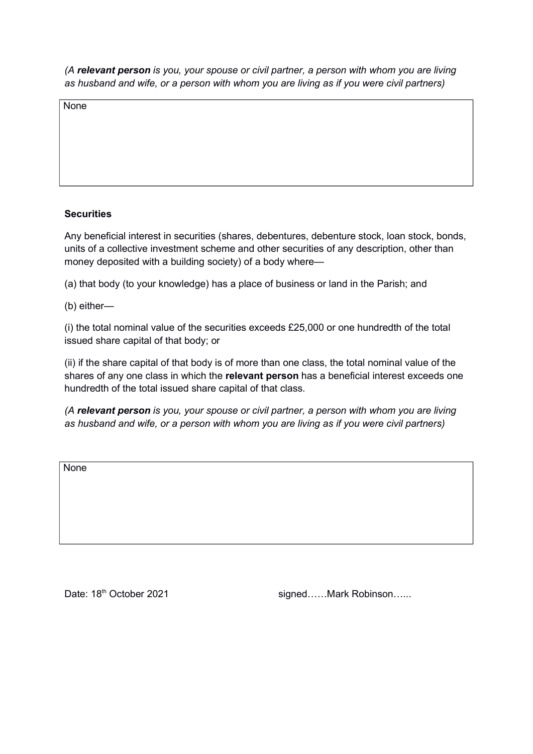None

# **Securities**

Any beneficial interest in securities (shares, debentures, debenture stock, loan stock, bonds, units of a collective investment scheme and other securities of any description, other than money deposited with a building society) of a body where—

(a) that body (to your knowledge) has a place of business or land in the Parish; and

(b) either—

(i) the total nominal value of the securities exceeds £25,000 or one hundredth of the total issued share capital of that body; or

(ii) if the share capital of that body is of more than one class, the total nominal value of the shares of any one class in which the relevant person has a beneficial interest exceeds one hundredth of the total issued share capital of that class.

(A relevant person is you, your spouse or civil partner, a person with whom you are living as husband and wife, or a person with whom you are living as if you were civil partners)

**None** 

Date: 18<sup>th</sup> October 2021 **State: 18th October 2021** signed......Mark Robinson......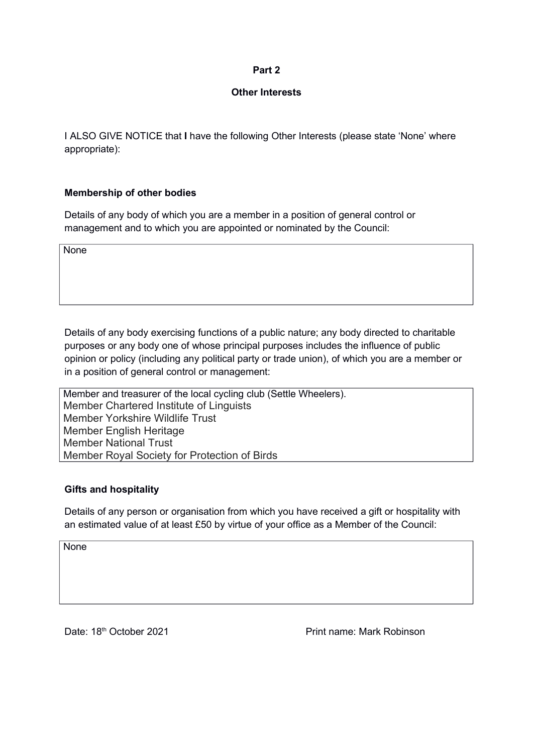### Other Interests

I ALSO GIVE NOTICE that I have the following Other Interests (please state 'None' where appropriate):

# Membership of other bodies

Details of any body of which you are a member in a position of general control or management and to which you are appointed or nominated by the Council:

**None** 

Details of any body exercising functions of a public nature; any body directed to charitable purposes or any body one of whose principal purposes includes the influence of public opinion or policy (including any political party or trade union), of which you are a member or in a position of general control or management:

Member and treasurer of the local cycling club (Settle Wheelers). Member Chartered Institute of Linguists Member Yorkshire Wildlife Trust Member English Heritage Member National Trust Member Royal Society for Protection of Birds

# Gifts and hospitality

Details of any person or organisation from which you have received a gift or hospitality with an estimated value of at least £50 by virtue of your office as a Member of the Council:

**None** 

Date: 18<sup>th</sup> October 2021 **Print name: Mark Robinson**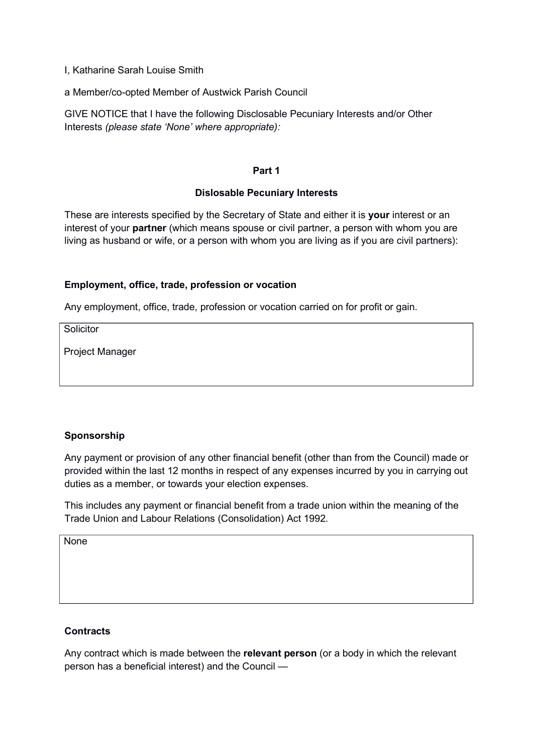I, Katharine Sarah Louise Smith

a Member/co-opted Member of Austwick Parish Council

GIVE NOTICE that I have the following Disclosable Pecuniary Interests and/or Other Interests (please state 'None' where appropriate):

### Part 1

### Dislosable Pecuniary Interests

These are interests specified by the Secretary of State and either it is your interest or an interest of your **partner** (which means spouse or civil partner, a person with whom you are living as husband or wife, or a person with whom you are living as if you are civil partners):

# Employment, office, trade, profession or vocation

Any employment, office, trade, profession or vocation carried on for profit or gain.

**Solicitor** 

Project Manager

# Sponsorship

Any payment or provision of any other financial benefit (other than from the Council) made or provided within the last 12 months in respect of any expenses incurred by you in carrying out duties as a member, or towards your election expenses.

This includes any payment or financial benefit from a trade union within the meaning of the Trade Union and Labour Relations (Consolidation) Act 1992.

None

# **Contracts**

Any contract which is made between the relevant person (or a body in which the relevant person has a beneficial interest) and the Council —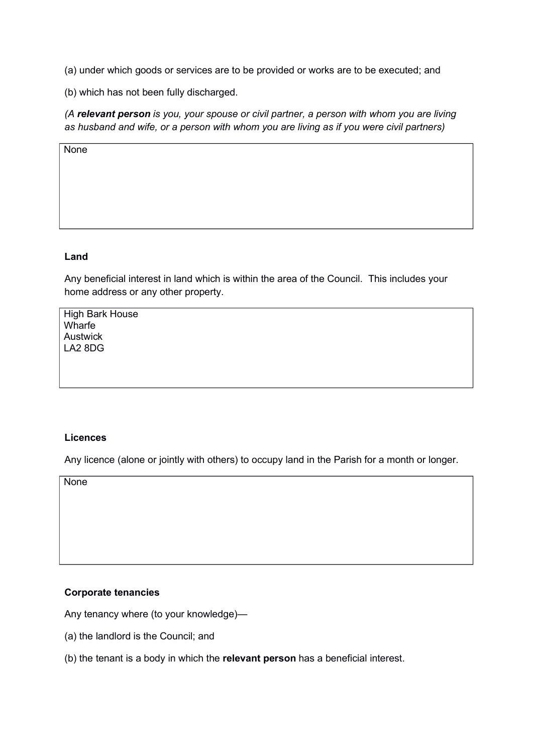(a) under which goods or services are to be provided or works are to be executed; and

(b) which has not been fully discharged.

(A relevant person is you, your spouse or civil partner, a person with whom you are living as husband and wife, or a person with whom you are living as if you were civil partners)

**None** 

#### Land

Any beneficial interest in land which is within the area of the Council. This includes your home address or any other property.

High Bark House **Wharfe** Austwick LA2 8DG

#### **Licences**

Any licence (alone or jointly with others) to occupy land in the Parish for a month or longer.

**None** 

#### Corporate tenancies

Any tenancy where (to your knowledge)—

- (a) the landlord is the Council; and
- (b) the tenant is a body in which the relevant person has a beneficial interest.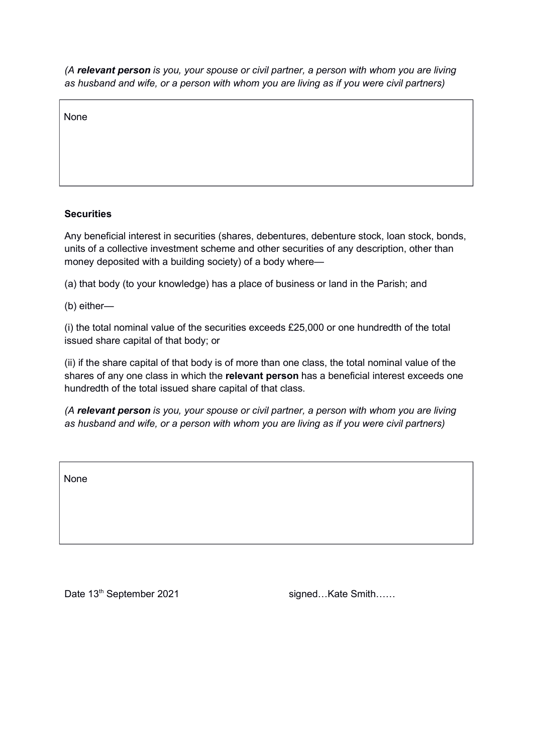None

# **Securities**

Any beneficial interest in securities (shares, debentures, debenture stock, loan stock, bonds, units of a collective investment scheme and other securities of any description, other than money deposited with a building society) of a body where—

(a) that body (to your knowledge) has a place of business or land in the Parish; and

(b) either—

(i) the total nominal value of the securities exceeds £25,000 or one hundredth of the total issued share capital of that body; or

(ii) if the share capital of that body is of more than one class, the total nominal value of the shares of any one class in which the relevant person has a beneficial interest exceeds one hundredth of the total issued share capital of that class.

(A relevant person is you, your spouse or civil partner, a person with whom you are living as husband and wife, or a person with whom you are living as if you were civil partners)

None

Date 13<sup>th</sup> September 2021 signed…Kate Smith……